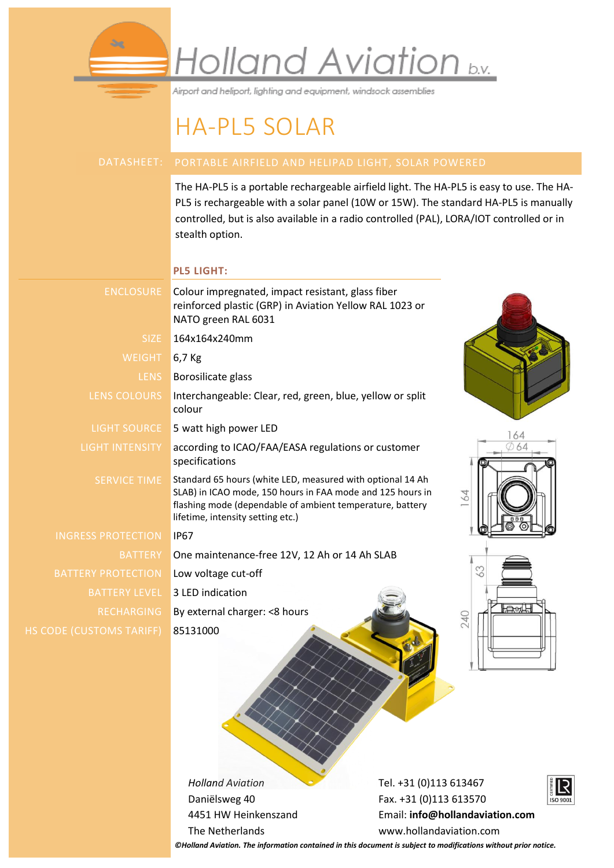

Airport and heliport, lighting and equipment, windsock assemblies

### HA-PL5 SOLAR

The HA-PL5 is a portable rechargeable airfield light. The HA-PL5 is easy to use. The HA-PL5 is rechargeable with a solar panel (10W or 15W). The standard HA-PL5 is manually controlled, but is also available in a radio controlled (PAL), LORA/IOT controlled or in stealth option.

### **PL5 LIGHT:**

æ.

| <b>ENCLOSURE</b>          | Colour impregnated, impact resistant, glass fiber<br>reinforced plastic (GRP) in Aviation Yellow RAL 1023 or<br>NATO green RAL 6031                                                                                               |
|---------------------------|-----------------------------------------------------------------------------------------------------------------------------------------------------------------------------------------------------------------------------------|
| SIZE:                     | 164x164x240mm                                                                                                                                                                                                                     |
| <b>WEIGHT</b>             | $6,7$ Kg                                                                                                                                                                                                                          |
| <b>LENS</b>               | Borosilicate glass                                                                                                                                                                                                                |
| LENS COLOURS              | Interchangeable: Clear, red, green, blue, yellow or split<br>colour                                                                                                                                                               |
| <b>LIGHT SOURCE</b>       | 5 watt high power LED<br>64                                                                                                                                                                                                       |
| LIGHT INTENSITY           | according to ICAO/FAA/EASA regulations or customer<br>specifications                                                                                                                                                              |
| <b>SERVICE TIME</b>       | Standard 65 hours (white LED, measured with optional 14 Ah<br>SLAB) in ICAO mode, 150 hours in FAA mode and 125 hours in<br>164<br>flashing mode (dependable of ambient temperature, battery<br>lifetime, intensity setting etc.) |
| <b>INGRESS PROTECTION</b> | <b>IP67</b>                                                                                                                                                                                                                       |
| <b>BATTERY</b>            | One maintenance-free 12V, 12 Ah or 14 Ah SLAB                                                                                                                                                                                     |
| <b>BATTERY PROTECTION</b> | 63<br>Low voltage cut-off                                                                                                                                                                                                         |
| <b>BATTERY LEVEL</b>      | 3 LED indication                                                                                                                                                                                                                  |
| <b>RECHARGING</b>         | H<br>By external charger: < 8 hours<br>240                                                                                                                                                                                        |
| DE (CUSTOMS TARIFF)       | 85131000                                                                                                                                                                                                                          |

*Holland Aviation* Daniëlsweg 40 4451 HW Heinkenszand The Netherlands

Tel. +31 (0)113 613467 Fax. +31 (0)113 613570 Email: **[info@hollandaviation.com](mailto:info@hollandaviation.com)** www.hollandaviation.com



*©Holland Aviation. The information contained in this document is subject to modifications without prior notice.*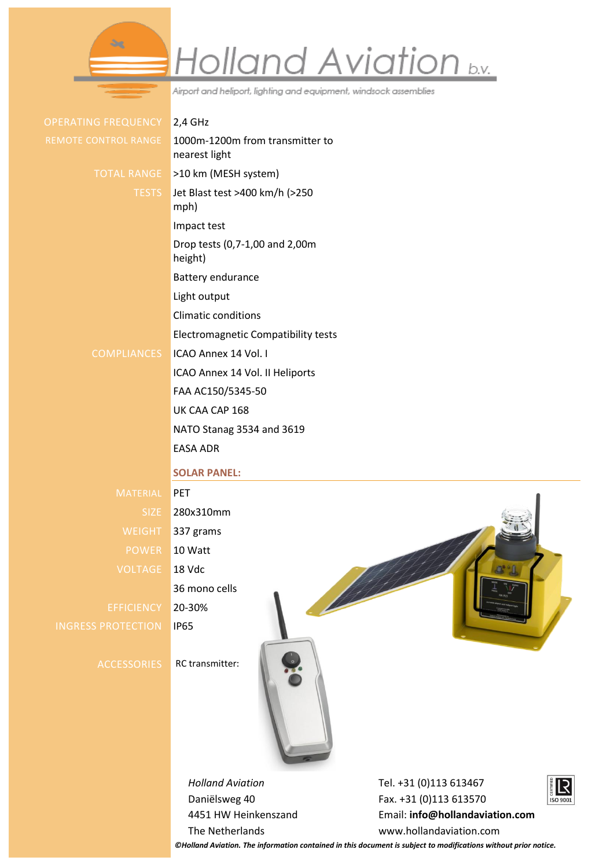# Holland Aviation b.v.

Airport and heliport, lighting and equipment, windsock assemblies

| <b>OPERATING FREQUENCY</b> |                      |
|----------------------------|----------------------|
|                            | REMOTE CONTROL RANGE |

 $2.4$  GHz 1000m-1200m from transmitter to nearest light TOTAL RANGE >10 km (MESH system) TESTS Jet Blast test >400 km/h (>250 mph) Impact test Drop tests (0,7-1,00 and 2,00m height) Battery endurance Light output

Climatic conditions

Electromagnetic Compatibility tests

#### COMPLIANCES ICAO Annex 14 Vol. I

ICAO Annex 14 Vol. II Heliports

FAA AC150/5345-50

UK CAA CAP 168

NATO Stanag 3534 and 3619

EASA ADR

#### **SOLAR PANEL:**

MATERIAL PET SIZE 280x310mm WEIGHT 337 grams POWER 10 Watt VOLTAGE 18 Vdc 36 mono cells EFFICIENCY 20-30% INGRESS PROTECTION IP65

ACCESSORIES RC transmitter:



*Holland Aviation* Daniëlsweg 40 4451 HW Heinkenszand The Netherlands

Tel. +31 (0)113 613467 Fax. +31 (0)113 613570 Email: **[info@hollandaviation.com](mailto:info@hollandaviation.com)** www.hollandaviation.com



*©Holland Aviation. The information contained in this document is subject to modifications without prior notice.*